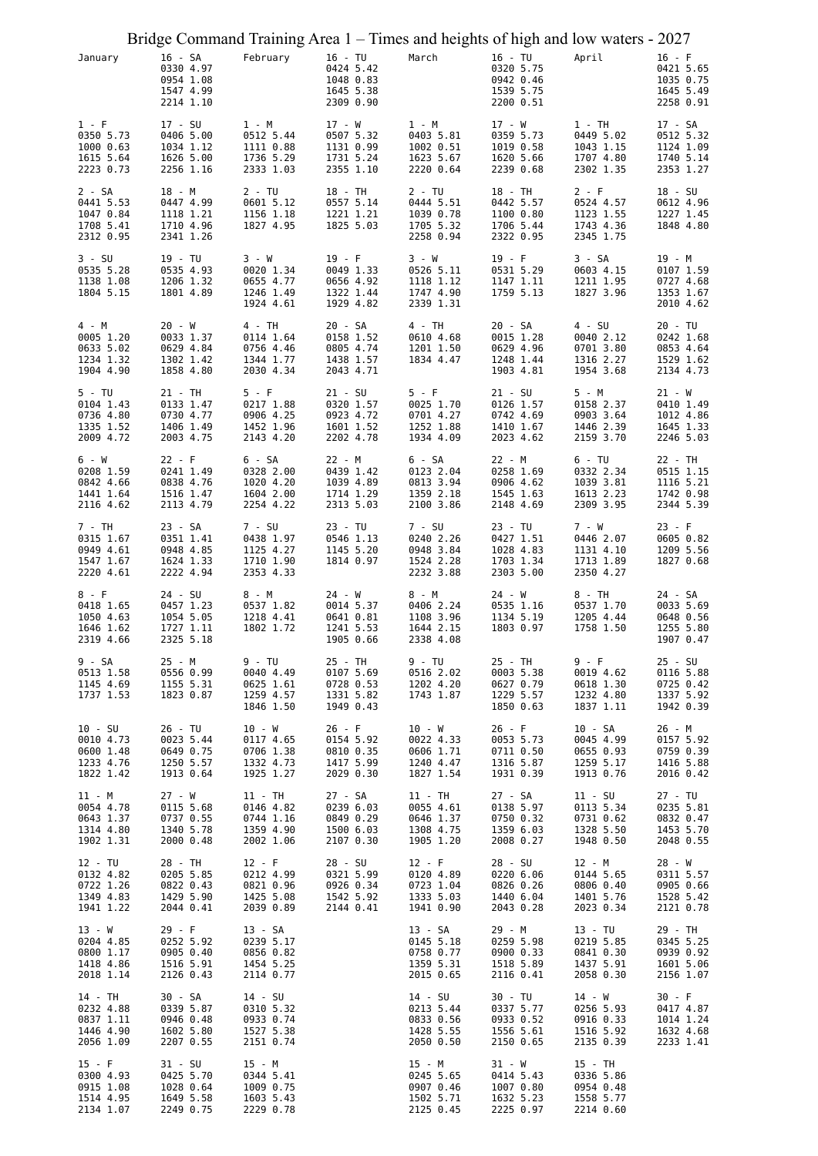| Bridge Command Training Area 1 – Times and heights of high and low waters - 2027 |                                                               |                                                               |                                                               |                                                               |                                                               |                                                               |                                                              |
|----------------------------------------------------------------------------------|---------------------------------------------------------------|---------------------------------------------------------------|---------------------------------------------------------------|---------------------------------------------------------------|---------------------------------------------------------------|---------------------------------------------------------------|--------------------------------------------------------------|
| January                                                                          | 16 - SA<br>0330 4.97<br>0954 1.08<br>1547 4.99<br>2214 1.10   | February                                                      | 16 - TU<br>0424 5.42<br>1048 0.83<br>1645 5.38<br>2309 0.90   | March                                                         | 16 - TU<br>0320 5.75<br>0942 0.46<br>1539 5.75<br>2200 0.51   | April                                                         | $16 - F$<br>0421 5.65<br>1035 0.75<br>1645 5.49<br>2258 0.91 |
| $1 - F$<br>0350 5.73<br>1000 0.63<br>1615 5.64<br>2223 0.73                      | 17 - SU<br>0406 5.00<br>1034 1.12<br>1626 5.00<br>2256 1.16   | 1 - M<br>0512 5.44<br>1111 0.88<br>1736 5.29<br>2333 1.03     | $17 - W$<br>0507 5.32<br>1131 0.99<br>1731 5.24<br>2355 1.10  | 1 - M<br>0403 5.81<br>1002 0.51<br>1623 5.67<br>2220 0.64     | $17 - W$<br>0359 5.73<br>1019 0.58<br>1620 5.66<br>2239 0.68  | 1 - TH<br>0449 5.02<br>1043 1.15<br>1707 4.80<br>2302 1.35    | 17 - SA<br>0512 5.32<br>1124 1.09<br>1740 5.14<br>2353 1.27  |
| 2 - SA<br>0441 5.53<br>1047 0.84<br>1708 5.41<br>2312 0.95                       | 18 - M<br>0447 4.99<br>1118 1.21<br>1710 4.96<br>2341 1.26    | $2 - TU$<br>0601 5.12<br>1156 1.18<br>1827 4.95               | 18 - TH<br>0557 5.14<br>1221 1.21<br>1825 5.03                | $2 - TU$<br>0444 5.51<br>1039 0.78<br>1705 5.32<br>2258 0.94  | 18 - TH<br>0442 5.57<br>1100 0.80<br>1706 5.44<br>2322 0.95   | $2 - F$<br>0524 4.57<br>1123 1.55<br>1743 4.36<br>2345 1.75   | $18 - SU$<br>0612 4.96<br>1227 1.45<br>1848 4.80             |
| $3 - SU$<br>0535 5.28<br>1138 1.08<br>1804 5.15                                  | 19 - TU<br>0535 4.93<br>1206 1.32<br>1801 4.89                | 3 - W<br>0020 1.34<br>0655 4.77<br>1246 1.49<br>1924 4.61     | $19 - F$<br>0049 1.33<br>0656 4.92<br>1322 1.44<br>1929 4.82  | 3 - W<br>0526 5.11<br>1118 1.12<br>1747 4.90<br>2339 1.31     | $19 - F$<br>0531 5.29<br>1147 1.11<br>1759 5.13               | 3 - SA<br>0603 4.15<br>1211 1.95<br>1827 3.96                 | 19 - M<br>0107 1.59<br>0727 4.68<br>1353 1.67<br>2010 4.62   |
| 4 - M<br>0005 1.20<br>0633 5.02<br>1234 1.32<br>1904 4.90                        | 20 - W<br>0033 1.37<br>0629 4.84<br>1302 1.42<br>1858 4.80    | 4 - TH<br>0114 1.64<br>0756 4.46<br>1344 1.77<br>2030 4.34    | 20 - SA<br>0158 1.52<br>0805 4.74<br>1438 1.57<br>2043 4.71   | 4 - TH<br>0610 4.68<br>1201 1.50<br>1834 4.47                 | 20 - SA<br>0015 1.28<br>0629 4.96<br>1248 1.44<br>1903 4.81   | 4 - SU<br>0040 2.12<br>0701 3.80<br>1316 2.27<br>1954 3.68    | 20 - TU<br>0242 1.68<br>0853 4.64<br>1529 1.62<br>2134 4.73  |
| 5 - TU<br>0104 1.43<br>0736 4.80<br>1335 1.52<br>2009 4.72                       | 21 - TH<br>0133 1.47<br>0730 4.77<br>1406 1.49<br>2003 4.75   | $5 - F$<br>0217 1.88<br>0906 4.25<br>1452 1.96<br>2143 4.20   | $21 - SU$<br>0320 1.57<br>0923 4.72<br>1601 1.52<br>2202 4.78 | $5 - F$<br>0025 1.70<br>0701 4.27<br>1252 1.88<br>1934 4.09   | $21 - SU$<br>0126 1.57<br>0742 4.69<br>1410 1.67<br>2023 4.62 | 5 - M<br>0158 2.37<br>0903 3.64<br>1446 2.39<br>2159 3.70     | $21 - W$<br>0410 1.49<br>1012 4.86<br>1645 1.33<br>2246 5.03 |
| 6 - W<br>0208 1.59<br>0842 4.66<br>1441 1.64<br>2116 4.62                        | $22 - F$<br>0241 1.49<br>0838 4.76<br>1516 1.47<br>2113 4.79  | 6 - SA<br>0328 2.00<br>1020 4.20<br>1604 2.00<br>2254 4.22    | 22 - M<br>0439 1.42<br>1039 4.89<br>1714 1.29<br>2313 5.03    | 6 - SA<br>0123 2.04<br>0813 3.94<br>1359 2.18<br>2100 3.86    | 22 - M<br>0258 1.69<br>0906 4.62<br>1545 1.63<br>2148 4.69    | $6 - TU$<br>0332 2.34<br>1039 3.81<br>1613 2.23<br>2309 3.95  | 22 - TH<br>0515 1.15<br>1116 5.21<br>1742 0.98<br>2344 5.39  |
| 7 - TH<br>0315 1.67<br>0949 4.61<br>1547 1.67<br>2220 4.61                       | 23 - SA<br>0351 1.41<br>0948 4.85<br>1624 1.33<br>2222 4.94   | 7 - SU<br>0438 1.97<br>1125 4.27<br>1710 1.90<br>2353 4.33    | 23 - TU<br>0546 1.13<br>1145 5.20<br>1814 0.97                | 7 - SU<br>0240 2.26<br>0948 3.84<br>1524 2.28<br>2232 3.88    | 23 - TU<br>0427 1.51<br>1028 4.83<br>1703 1.34<br>2303 5.00   | 7 - W<br>0446 2.07<br>1131 4.10<br>1713 1.89<br>2350 4.27     | $23 - F$<br>0605 0.82<br>1209 5.56<br>1827 0.68              |
| $8 - F$<br>0418 1.65<br>1050 4.63<br>1646 1.62<br>2319 4.66                      | $24 - SU$<br>0457 1.23<br>1054 5.05<br>1727 1.11<br>2325 5.18 | 8 - M<br>0537 1.82<br>1218 4.41<br>1802 1.72                  | 24 - W<br>0014 5.37<br>0641 0.81<br>1241 5.53<br>1905 0.66    | 8 - M<br>0406 2.24<br>1108 3.96<br>1644 2.15<br>2338 4.08     | 24 - W<br>0535 1.16<br>1134 5.19<br>1803 0.97                 | $8 - TH$<br>0537 1.70<br>1205 4.44<br>1758 1.50               | 24 - SA<br>0033 5.69<br>0648 0.56<br>1255 5.80<br>1907 0.47  |
| 9 - SA<br>0513 1.58<br>1145 4.69<br>1737 1.53                                    | 25 - M<br>0556 0.99<br>1155 5.31<br>1823 0.87                 | 9 - TU<br>0040 4.49<br>0625 1.61<br>1259 4.57<br>1846 1.50    | 25 - TH<br>0107 5.69<br>0728 0.53<br>1331 5.82<br>1949 0.43   | 9 - TU<br>0516 2.02<br>1202 4.20<br>1743 1.87                 | 25 - TH<br>0003 5.38<br>0627 0.79<br>1229 5.57<br>1850 0.63   | 9 - F<br>0019 4.62<br>0618 1.30<br>1232 4.80<br>1837 1.11     | 25 - SU<br>0116 5.88<br>0725 0.42<br>1337 5.92<br>1942 0.39  |
| 10 - SU<br>0010 4.73<br>0600 1.48<br>1233 4.76<br>1822 1.42                      | 26 - TU<br>0023 5.44<br>0649 0.75<br>1250 5.57<br>1913 0.64   | 10 - W<br>0117 4.65<br>0706 1.38<br>1332 4.73<br>1925 1.27    | $26 - F$<br>0154 5.92<br>0810 0.35<br>1417 5.99<br>2029 0.30  | 10 - W<br>0022 4.33<br>0606 1.71<br>1240 4.47<br>1827 1.54    | 26 - F<br>0053 5.73<br>0711 0.50<br>1316 5.87<br>1931 0.39    | 10 - SA<br>0045 4.99<br>0655 0.93<br>1259 5.17<br>1913 0.76   | 26 - M<br>0157 5.92<br>0759 0.39<br>1416 5.88<br>2016 0.42   |
| 11 - M<br>0054 4.78<br>0643 1.37<br>1314 4.80<br>1902 1.31                       | 27 - W<br>0115 5.68<br>0737 0.55<br>1340 5.78<br>2000 0.48    | 11 - TH<br>0146 4.82<br>0744 1.16<br>1359 4.90<br>2002 1.06   | 27 - SA<br>0239 6.03<br>0849 0.29<br>1500 6.03<br>2107 0.30   | 11 - TH<br>0055 4.61<br>0646 1.37<br>1308 4.75<br>1905 1.20   | 27 - SA<br>0138 5.97<br>0750 0.32<br>1359 6.03<br>2008 0.27   | $11 - SU$<br>0113 5.34<br>0731 0.62<br>1328 5.50<br>1948 0.50 | 27 - TU<br>0235 5.81<br>0832 0.47<br>1453 5.70<br>2048 0.55  |
| 12 - TU<br>0132 4.82<br>0722 1.26<br>1349 4.83<br>1941 1.22                      | 28 - TH<br>0205 5.85<br>0822 0.43<br>1429 5.90<br>2044 0.41   | $12 - F$<br>0212 4.99<br>0821 0.96<br>1425 5.08<br>2039 0.89  | 28 - SU<br>0321 5.99<br>0926 0.34<br>1542 5.92<br>2144 0.41   | $12 - F$<br>0120 4.89<br>0723 1.04<br>1333 5.03<br>1941 0.90  | 28 - SU<br>0220 6.06<br>0826 0.26<br>1440 6.04<br>2043 0.28   | 12 - M<br>0144 5.65<br>0806 0.40<br>1401 5.76<br>2023 0.34    | 28 - W<br>0311 5.57<br>0905 0.66<br>1528 5.42<br>2121 0.78   |
| $13 - W$<br>0204 4.85<br>0800 1.17<br>1418 4.86<br>2018 1.14                     | $29 - F$<br>0252 5.92<br>0905 0.40<br>1516 5.91<br>2126 0.43  | 13 - SA<br>0239 5.17<br>0856 0.82<br>1454 5.25<br>2114 0.77   |                                                               | 13 - SA<br>0145 5.18<br>0758 0.77<br>1359 5.31<br>2015 0.65   | 29 - M<br>0259 5.98<br>0900 0.33<br>1518 5.89<br>2116 0.41    | 13 - TU<br>0219 5.85<br>0841 0.30<br>1437 5.91<br>2058 0.30   | 29 - TH<br>0345 5.25<br>0939 0.92<br>1601 5.06<br>2156 1.07  |
| 14 - TH<br>0232 4.88<br>0837 1.11<br>1446 4.90<br>2056 1.09                      | 30 - SA<br>0339 5.87<br>0946 0.48<br>1602 5.80<br>2207 0.55   | $14 - SU$<br>0310 5.32<br>0933 0.74<br>1527 5.38<br>2151 0.74 |                                                               | $14 - SU$<br>0213 5.44<br>0833 0.56<br>1428 5.55<br>2050 0.50 | 30 - TU<br>0337 5.77<br>0933 0.52<br>1556 5.61<br>2150 0.65   | 14 - W<br>0256 5.93<br>0916 0.33<br>1516 5.92<br>2135 0.39    | 30 - F<br>0417 4.87<br>1014 1.24<br>1632 4.68<br>2233 1.41   |
| $15 - F$<br>0300 4.93<br>0915 1.08<br>1514 4.95<br>2134 1.07                     | $31 - SU$<br>0425 5.70<br>1028 0.64<br>1649 5.58<br>2249 0.75 | 15 - M<br>0344 5.41<br>1009 0.75<br>1603 5.43<br>2229 0.78    |                                                               | 15 - M<br>0245 5.65<br>0907 0.46<br>1502 5.71<br>2125 0.45    | 31 - W<br>0414 5.43<br>1007 0.80<br>1632 5.23<br>2225 0.97    | 15 - TH<br>0336 5.86<br>0954 0.48<br>1558 5.77<br>2214 0.60   |                                                              |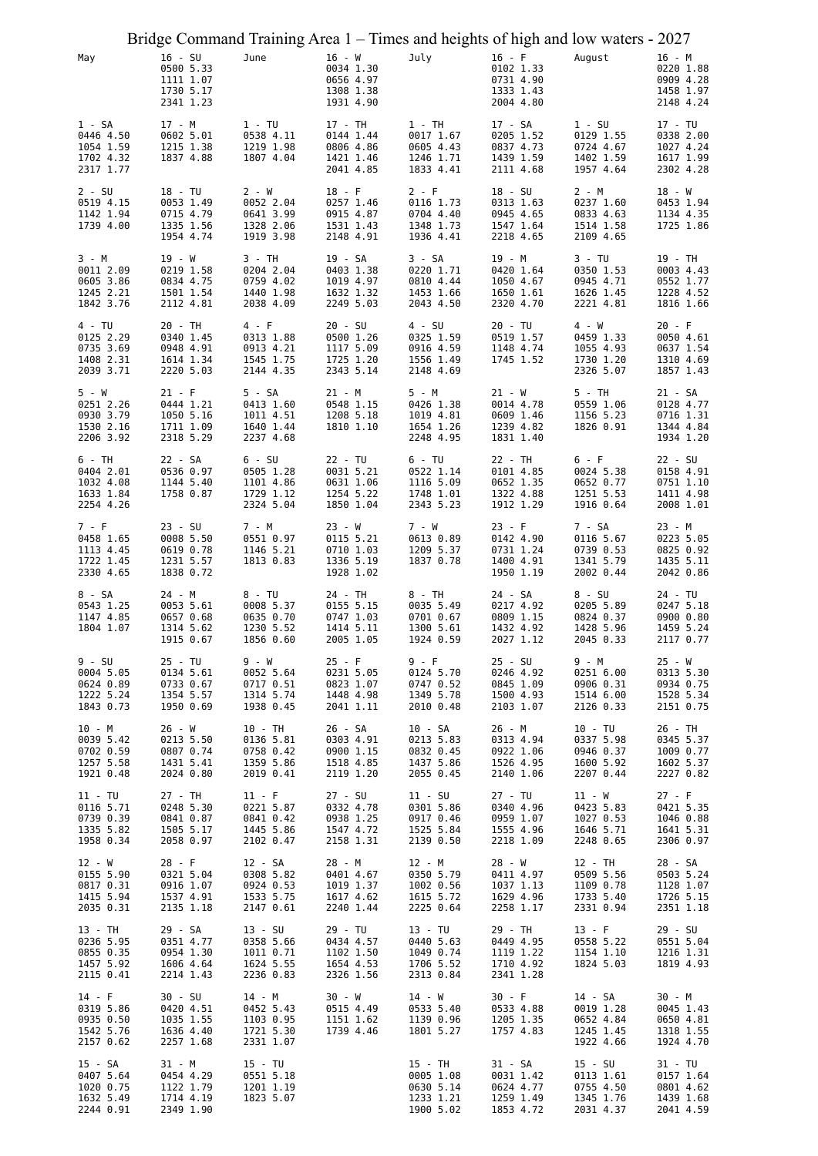|                                                               | Bridge Command Training Area 1 – Times and heights of high and low waters - 2027 |                                                               |                                                               |                                                               |                                                              |                                                               |                                                               |
|---------------------------------------------------------------|----------------------------------------------------------------------------------|---------------------------------------------------------------|---------------------------------------------------------------|---------------------------------------------------------------|--------------------------------------------------------------|---------------------------------------------------------------|---------------------------------------------------------------|
| May                                                           | $16 - SU$<br>0500 5.33<br>1111 1.07<br>1730 5.17<br>2341 1.23                    | June                                                          | $16 - W$<br>0034 1.30<br>0656 4.97<br>1308 1.38<br>1931 4.90  | July                                                          | $16 - F$<br>0102 1.33<br>0731 4.90<br>1333 1.43<br>2004 4.80 | August                                                        | 16 - M<br>0220 1.88<br>0909 4.28<br>1458 1.97<br>2148 4.24    |
| 1 - SA<br>0446 4.50<br>1054 1.59<br>1702 4.32<br>2317 1.77    | 17 - M<br>0602 5.01<br>1215 1.38<br>1837 4.88                                    | 1 - TU<br>0538 4.11<br>1219 1.98<br>1807 4.04                 | 17 - TH<br>0144 1.44<br>0806 4.86<br>1421 1.46<br>2041 4.85   | 1 - TH<br>0017 1.67<br>0605 4.43<br>1246 1.71<br>1833 4.41    | 17 - SA<br>0205 1.52<br>0837 4.73<br>1439 1.59<br>2111 4.68  | 1 - SU<br>0129 1.55<br>0724 4.67<br>1402 1.59<br>1957 4.64    | 17 - TU<br>0338 2.00<br>1027 4.24<br>1617 1.99<br>2302 4.28   |
| $2 - SU$<br>0519 4.15<br>1142 1.94<br>1739 4.00               | 18 - TU<br>0053 1.49<br>0715 4.79<br>1335 1.56<br>1954 4.74                      | 2 - W<br>0052 2.04<br>0641 3.99<br>1328 2.06<br>1919 3.98     | $18 - F$<br>0257 1.46<br>0915 4.87<br>1531 1.43<br>2148 4.91  | 2 - F<br>0116 1.73<br>0704 4.40<br>1348 1.73<br>1936 4.41     | 18 - SU<br>0313 1.63<br>0945 4.65<br>1547 1.64<br>2218 4.65  | 2 - M<br>0237 1.60<br>0833 4.63<br>1514 1.58<br>2109 4.65     | 18 - W<br>0453 1.94<br>1134 4.35<br>1725 1.86                 |
| 3 - M<br>0011 2.09<br>0605 3.86<br>1245 2.21<br>1842 3.76     | 19 - W<br>0219 1.58<br>0834 4.75<br>1501 1.54<br>2112 4.81                       | 3 - TH<br>0204 2.04<br>0759 4.02<br>1440 1.98<br>2038 4.09    | 19 - SA<br>0403 1.38<br>1019 4.97<br>1632 1.32<br>2249 5.03   | 3 - SA<br>0220 1.71<br>0810 4.44<br>1453 1.66<br>2043 4.50    | 19 - M<br>0420 1.64<br>1050 4.67<br>1650 1.61<br>2320 4.70   | 3 - TU<br>0350 1.53<br>0945 4.71<br>1626 1.45<br>2221 4.81    | 19 - TH<br>0003 4.43<br>0552 1.77<br>1228 4.52<br>1816 1.66   |
| 4 - TU<br>0125 2.29<br>0735 3.69<br>1408 2.31<br>2039 3.71    | 20 - TH<br>0340 1.45<br>0948 4.91<br>1614 1.34<br>2220 5.03                      | 4 - F<br>0313 1.88<br>0913 4.21<br>1545 1.75<br>2144 4.35     | $20 - SU$<br>0500 1.26<br>1117 5.09<br>1725 1.20<br>2343 5.14 | $4 - SU$<br>0325 1.59<br>0916 4.59<br>1556 1.49<br>2148 4.69  | 20 - TU<br>0519 1.57<br>1148 4.74<br>1745 1.52               | 4 - W<br>0459 1.33<br>1055 4.93<br>1730 1.20<br>2326 5.07     | $20 - F$<br>0050 4.61<br>0637 1.54<br>1310 4.69<br>1857 1.43  |
| 5 - W<br>0251 2.26<br>0930 3.79<br>1530 2.16<br>2206 3.92     | $21 - F$<br>0444 1.21<br>1050 5.16<br>1711 1.09<br>2318 5.29                     | 5 - SA<br>0413 1.60<br>1011 4.51<br>1640 1.44<br>2237 4.68    | 21 - M<br>0548 1.15<br>1208 5.18<br>1810 1.10                 | $5 - M$<br>0426 1.38<br>1019 4.81<br>1654 1.26<br>2248 4.95   | 21 - W<br>0014 4.78<br>0609 1.46<br>1239 4.82<br>1831 1.40   | 5 - TH<br>0559 1.06<br>1156 5.23<br>1826 0.91                 | 21 - SA<br>0128 4.77<br>0716 1.31<br>1344 4.84<br>1934 1.20   |
| 6 - TH<br>0404 2.01<br>1032 4.08<br>1633 1.84<br>2254 4.26    | 22 - SA<br>0536 0.97<br>1144 5.40<br>1758 0.87                                   | $6 - SU$<br>0505 1.28<br>1101 4.86<br>1729 1.12<br>2324 5.04  | 22 - TU<br>0031 5.21<br>0631 1.06<br>1254 5.22<br>1850 1.04   | 6 - TU<br>0522 1.14<br>1116 5.09<br>1748 1.01<br>2343 5.23    | 22 - TH<br>0101 4.85<br>0652 1.35<br>1322 4.88<br>1912 1.29  | 6 - F<br>0024 5.38<br>0652 0.77<br>1251 5.53<br>1916 0.64     | $22 - SU$<br>0158 4.91<br>0751 1.10<br>1411 4.98<br>2008 1.01 |
| 7 - F<br>0458 1.65<br>1113 4.45<br>1722 1.45<br>2330 4.65     | 23 - SU<br>0008 5.50<br>0619 0.78<br>1231 5.57<br>1838 0.72                      | 7 - M<br>0551 0.97<br>1146 5.21<br>1813 0.83                  | $23 - W$<br>0115 5.21<br>0710 1.03<br>1336 5.19<br>1928 1.02  | 7 - W<br>0613 0.89<br>1209 5.37<br>1837 0.78                  | $23 - F$<br>0142 4.90<br>0731 1.24<br>1400 4.91<br>1950 1.19 | 7 - SA<br>0116 5.67<br>0739 0.53<br>1341 5.79<br>2002 0.44    | 23 - M<br>0223 5.05<br>0825 0.92<br>1435 5.11<br>2042 0.86    |
| 8 - SA<br>0543 1.25<br>1147 4.85<br>1804 1.07                 | 24 - M<br>0053 5.61<br>0657 0.68<br>1314 5.62<br>1915 0.67                       | 8 - TU<br>0008 5.37<br>0635 0.70<br>1230 5.52<br>1856 0.60    | 24 - TH<br>0155 5.15<br>0747 1.03<br>1414 5.11<br>2005 1.05   | 8 - TH<br>0035 5.49<br>0701 0.67<br>1300 5.61<br>1924 0.59    | 24 - SA<br>0217 4.92<br>0809 1.15<br>1432 4.92<br>2027 1.12  | $8 - SU$<br>0205 5.89<br>0824 0.37<br>1428 5.96<br>2045 0.33  | 24 - TU<br>0247 5.18<br>0900 0.80<br>1459 5.24<br>2117 0.77   |
| 9 - SU<br>0004 5.05<br>0624 0.89<br>1222 5.24<br>1843 0.73    | 25 - TU<br>0134 5.61<br>0733 0.67<br>1354 5.57<br>1950 0.69                      | 9 - W<br>0052 5.64<br>0717 0.51<br>1314 5.74<br>1938 0.45     | $25 - F$<br>0231 5.05<br>0823 1.07<br>1448 4.98<br>2041 1.11  | 9 - F<br>0124 5.70<br>0747 0.52<br>1349 5.78<br>2010 0.48     | 25 - SU<br>0246 4.92<br>0845 1.09<br>1500 4.93<br>2103 1.07  | 9 - M<br>0251 6.00<br>0906 0.31<br>1514 6.00<br>2126 0.33     | $25 - W$<br>0313 5.30<br>0934 0.75<br>1528 5.34<br>2151 0.75  |
| 10 - M<br>0039 5.42<br>0702 0.59<br>1257 5.58<br>1921 0.48    | $26 - W$<br>0213 5.50<br>0807 0.74<br>1431 5.41<br>2024 0.80                     | 10 - TH<br>0136 5.81<br>0758 0.42<br>1359 5.86<br>2019 0.41   | 26 - SA<br>0303 4.91<br>0900 1.15<br>1518 4.85<br>2119 1.20   | 10 - SA<br>0213 5.83<br>0832 0.45<br>1437 5.86<br>2055 0.45   | 26 - M<br>0313 4.94<br>0922 1.06<br>1526 4.95<br>2140 1.06   | 10 - TU<br>0337 5.98<br>0946 0.37<br>1600 5.92<br>2207 0.44   | 26 - TH<br>0345 5.37<br>1009 0.77<br>1602 5.37<br>2227 0.82   |
| $11 - TU$<br>0116 5.71<br>0739 0.39<br>1335 5.82<br>1958 0.34 | 27 - TH<br>0248 5.30<br>0841 0.87<br>1505 5.17<br>2058 0.97                      | $11 - F$<br>0221 5.87<br>0841 0.42<br>1445 5.86<br>2102 0.47  | 27 - SU<br>0332 4.78<br>0938 1.25<br>1547 4.72<br>2158 1.31   | $11 - SU$<br>0301 5.86<br>0917 0.46<br>1525 5.84<br>2139 0.50 | 27 - TU<br>0340 4.96<br>0959 1.07<br>1555 4.96<br>2218 1.09  | $11 - W$<br>0423 5.83<br>1027 0.53<br>1646 5.71<br>2248 0.65  | $27 - F$<br>0421 5.35<br>1046 0.88<br>1641 5.31<br>2306 0.97  |
| 12 - W<br>0155 5.90<br>0817 0.31<br>1415 5.94<br>2035 0.31    | 28 - F<br>0321 5.04<br>0916 1.07<br>1537 4.91<br>2135 1.18                       | 12 - SA<br>0308 5.82<br>0924 0.53<br>1533 5.75<br>2147 0.61   | 28 - M<br>0401 4.67<br>1019 1.37<br>1617 4.62<br>2240 1.44    | 12 - M<br>0350 5.79<br>1002 0.56<br>1615 5.72<br>2225 0.64    | 28 - W<br>0411 4.97<br>1037 1.13<br>1629 4.96<br>2258 1.17   | 12 - TH<br>0509 5.56<br>1109 0.78<br>1733 5.40<br>2331 0.94   | 28 - SA<br>0503 5.24<br>1128 1.07<br>1726 5.15<br>2351 1.18   |
| 13 - TH<br>0236 5.95<br>0855 0.35<br>1457 5.92<br>2115 0.41   | 29 - SA<br>0351 4.77<br>0954 1.30<br>1606 4.64<br>2214 1.43                      | $13 - SU$<br>0358 5.66<br>1011 0.71<br>1624 5.55<br>2236 0.83 | 29 - TU<br>0434 4.57<br>1102 1.50<br>1654 4.53<br>2326 1.56   | 13 - TU<br>0440 5.63<br>1049 0.74<br>1706 5.52<br>2313 0.84   | 29 - TH<br>0449 4.95<br>1119 1.22<br>1710 4.92<br>2341 1.28  | $13 - F$<br>0558 5.22<br>1154 1.10<br>1824 5.03               | 29 - SU<br>0551 5.04<br>1216 1.31<br>1819 4.93                |
| $14 - F$<br>0319 5.86<br>0935 0.50<br>1542 5.76<br>2157 0.62  | 30 - SU<br>0420 4.51<br>1035 1.55<br>1636 4.40<br>2257 1.68                      | 14 - M<br>0452 5.43<br>1103 0.95<br>1721 5.30<br>2331 1.07    | 30 - W<br>0515 4.49<br>1151 1.62<br>1739 4.46                 | 14 - W<br>0533 5.40<br>1139 0.96<br>1801 5.27                 | 30 - F<br>0533 4.88<br>1205 1.35<br>1757 4.83                | 14 - SA<br>0019 1.28<br>0652 4.84<br>1245 1.45<br>1922 4.66   | 30 - M<br>0045 1.43<br>0650 4.81<br>1318 1.55<br>1924 4.70    |
| 15 - SA<br>0407 5.64<br>1020 0.75<br>1632 5.49<br>2244 0.91   | 31 - M<br>0454 4.29<br>1122 1.79<br>1714 4.19<br>2349 1.90                       | $15 - TU$<br>0551 5.18<br>1201 1.19<br>1823 5.07              |                                                               | 15 - TH<br>0005 1.08<br>0630 5.14<br>1233 1.21<br>1900 5.02   | 31 - SA<br>0031 1.42<br>0624 4.77<br>1259 1.49<br>1853 4.72  | $15 - SU$<br>0113 1.61<br>0755 4.50<br>1345 1.76<br>2031 4.37 | 31 - TU<br>0157 1.64<br>0801 4.62<br>1439 1.68<br>2041 4.59   |